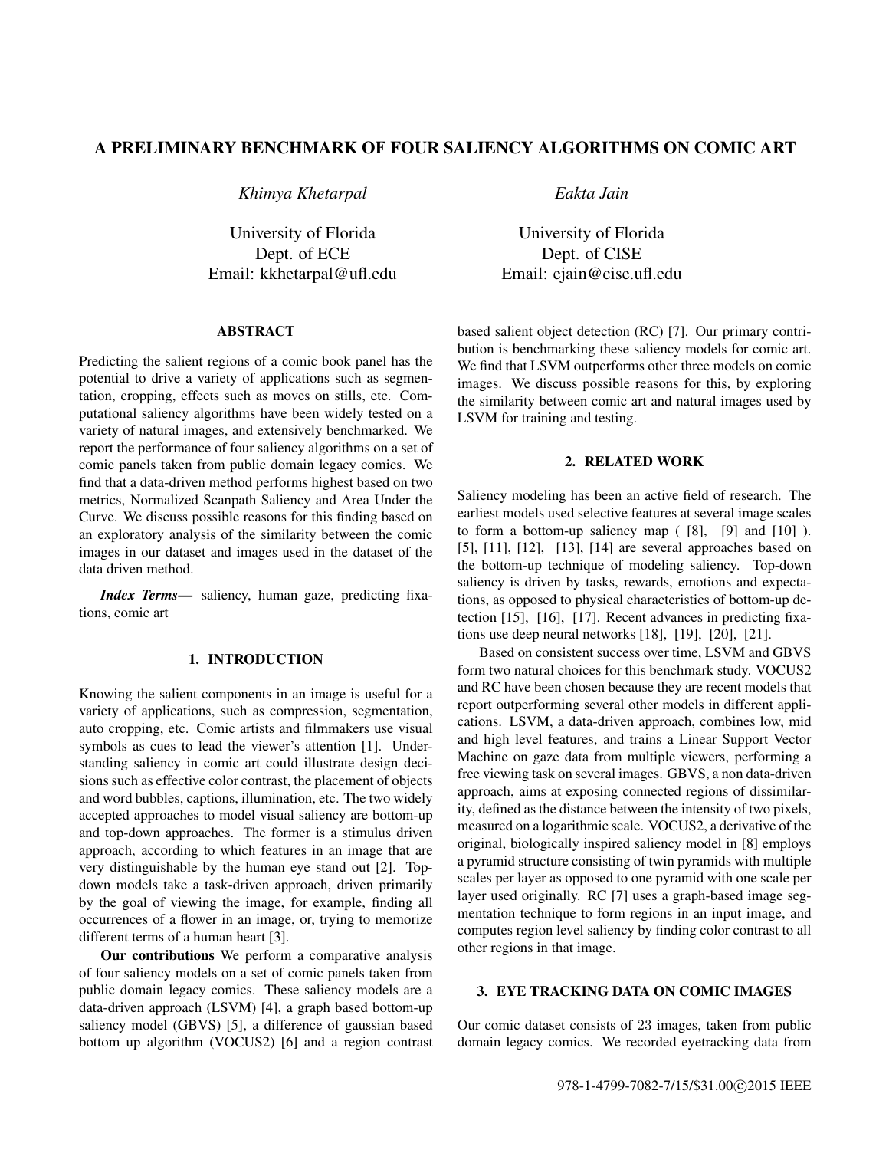# A PRELIMINARY BENCHMARK OF FOUR SALIENCY ALGORITHMS ON COMIC ART

*Khimya Khetarpal*

University of Florida Dept. of ECE Email: kkhetarpal@ufl.edu

## ABSTRACT

Predicting the salient regions of a comic book panel has the potential to drive a variety of applications such as segmentation, cropping, effects such as moves on stills, etc. Computational saliency algorithms have been widely tested on a variety of natural images, and extensively benchmarked. We report the performance of four saliency algorithms on a set of comic panels taken from public domain legacy comics. We find that a data-driven method performs highest based on two metrics, Normalized Scanpath Saliency and Area Under the Curve. We discuss possible reasons for this finding based on an exploratory analysis of the similarity between the comic images in our dataset and images used in the dataset of the data driven method.

*Index Terms*— saliency, human gaze, predicting fixations, comic art

## 1. INTRODUCTION

Knowing the salient components in an image is useful for a variety of applications, such as compression, segmentation, auto cropping, etc. Comic artists and filmmakers use visual symbols as cues to lead the viewer's attention [1]. Understanding saliency in comic art could illustrate design decisions such as effective color contrast, the placement of objects and word bubbles, captions, illumination, etc. The two widely accepted approaches to model visual saliency are bottom-up and top-down approaches. The former is a stimulus driven approach, according to which features in an image that are very distinguishable by the human eye stand out [2]. Topdown models take a task-driven approach, driven primarily by the goal of viewing the image, for example, finding all occurrences of a flower in an image, or, trying to memorize different terms of a human heart [3].

Our contributions We perform a comparative analysis of four saliency models on a set of comic panels taken from public domain legacy comics. These saliency models are a data-driven approach (LSVM) [4], a graph based bottom-up saliency model (GBVS) [5], a difference of gaussian based bottom up algorithm (VOCUS2) [6] and a region contrast *Eakta Jain*

University of Florida Dept. of CISE Email: ejain@cise.ufl.edu

based salient object detection (RC) [7]. Our primary contribution is benchmarking these saliency models for comic art. We find that LSVM outperforms other three models on comic images. We discuss possible reasons for this, by exploring the similarity between comic art and natural images used by LSVM for training and testing.

## 2. RELATED WORK

Saliency modeling has been an active field of research. The earliest models used selective features at several image scales to form a bottom-up saliency map  $(8]$ ,  $[9]$  and  $[10]$ ). [5], [11], [12], [13], [14] are several approaches based on the bottom-up technique of modeling saliency. Top-down saliency is driven by tasks, rewards, emotions and expectations, as opposed to physical characteristics of bottom-up detection [15], [16], [17]. Recent advances in predicting fixations use deep neural networks [18], [19], [20], [21].

Based on consistent success over time, LSVM and GBVS form two natural choices for this benchmark study. VOCUS2 and RC have been chosen because they are recent models that report outperforming several other models in different applications. LSVM, a data-driven approach, combines low, mid and high level features, and trains a Linear Support Vector Machine on gaze data from multiple viewers, performing a free viewing task on several images. GBVS, a non data-driven approach, aims at exposing connected regions of dissimilarity, defined as the distance between the intensity of two pixels, measured on a logarithmic scale. VOCUS2, a derivative of the original, biologically inspired saliency model in [8] employs a pyramid structure consisting of twin pyramids with multiple scales per layer as opposed to one pyramid with one scale per layer used originally. RC [7] uses a graph-based image segmentation technique to form regions in an input image, and computes region level saliency by finding color contrast to all other regions in that image.

## 3. EYE TRACKING DATA ON COMIC IMAGES

Our comic dataset consists of 23 images, taken from public domain legacy comics. We recorded eyetracking data from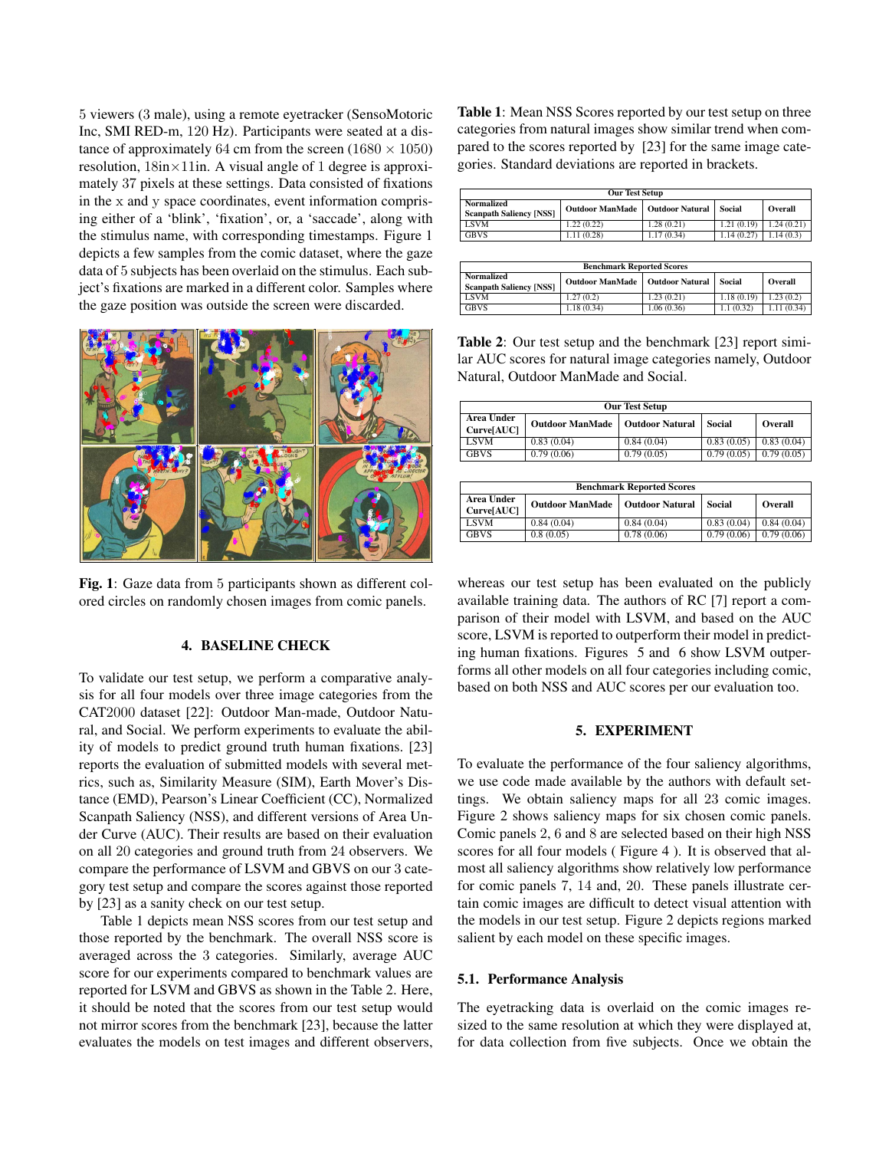5 viewers (3 male), using a remote eyetracker (SensoMotoric Inc, SMI RED-m, 120 Hz). Participants were seated at a distance of approximately 64 cm from the screen (1680  $\times$  1050) resolution,  $18in \times 11$ in. A visual angle of 1 degree is approximately 37 pixels at these settings. Data consisted of fixations in the x and y space coordinates, event information comprising either of a 'blink', 'fixation', or, a 'saccade', along with the stimulus name, with corresponding timestamps. Figure 1 depicts a few samples from the comic dataset, where the gaze data of 5 subjects has been overlaid on the stimulus. Each subject's fixations are marked in a different color. Samples where the gaze position was outside the screen were discarded.



Fig. 1: Gaze data from 5 participants shown as different colored circles on randomly chosen images from comic panels.

## 4. BASELINE CHECK

To validate our test setup, we perform a comparative analysis for all four models over three image categories from the CAT2000 dataset [22]: Outdoor Man-made, Outdoor Natural, and Social. We perform experiments to evaluate the ability of models to predict ground truth human fixations. [23] reports the evaluation of submitted models with several metrics, such as, Similarity Measure (SIM), Earth Mover's Distance (EMD), Pearson's Linear Coefficient (CC), Normalized Scanpath Saliency (NSS), and different versions of Area Under Curve (AUC). Their results are based on their evaluation on all 20 categories and ground truth from 24 observers. We compare the performance of LSVM and GBVS on our 3 category test setup and compare the scores against those reported by [23] as a sanity check on our test setup.

Table 1 depicts mean NSS scores from our test setup and those reported by the benchmark. The overall NSS score is averaged across the 3 categories. Similarly, average AUC score for our experiments compared to benchmark values are reported for LSVM and GBVS as shown in the Table 2. Here, it should be noted that the scores from our test setup would not mirror scores from the benchmark [23], because the latter evaluates the models on test images and different observers,

Table 1: Mean NSS Scores reported by our test setup on three categories from natural images show similar trend when compared to the scores reported by [23] for the same image categories. Standard deviations are reported in brackets.

| <b>Our Test Setup</b>          |                                   |            |            |            |  |
|--------------------------------|-----------------------------------|------------|------------|------------|--|
| <b>Normalized</b>              | Outdoor ManMade   Outdoor Natural |            | Social     | Overall    |  |
| <b>Scanpath Saliency [NSS]</b> |                                   |            |            |            |  |
| <b>LSVM</b>                    | 1.22(0.22)                        | 1.28(0.21) | 1.21(0.19) | 1.24(0.21) |  |
| <b>GBVS</b>                    | 1.11(0.28)                        | 1.17(0.34) | 1.14(0.27) | 1.14(0.3)  |  |

| <b>Benchmark Reported Scores</b>                    |                        |                        |            |            |  |
|-----------------------------------------------------|------------------------|------------------------|------------|------------|--|
| <b>Normalized</b><br><b>Scanpath Saliency [NSS]</b> | <b>Outdoor ManMade</b> | <b>Outdoor Natural</b> | Social     | Overall    |  |
| <b>LSVM</b>                                         | 1.27(0.2)              | 1.23(0.21)             | 1.18(0.19) | 1.23(0.2)  |  |
| <b>GBVS</b>                                         | 1.18(0.34)             | 1.06(0.36)             | 1.1(0.32)  | 1.11(0.34) |  |

Table 2: Our test setup and the benchmark [23] report similar AUC scores for natural image categories namely, Outdoor Natural, Outdoor ManMade and Social.

| <b>Our Test Setup</b>            |                        |                        |            |            |  |
|----------------------------------|------------------------|------------------------|------------|------------|--|
| Area Under<br><b>Curve</b> [AUC] | <b>Outdoor ManMade</b> | <b>Outdoor Natural</b> | Social     | Overall    |  |
| <b>LSVM</b>                      | 0.83(0.04)             | 0.84(0.04)             | 0.83(0.05) | 0.83(0.04) |  |
| <b>GBVS</b>                      | 0.79(0.06)             | 0.79(0.05)             | 0.79(0.05) | 0.79(0.05) |  |

| <b>Benchmark Reported Scores</b> |                        |                        |            |            |  |
|----------------------------------|------------------------|------------------------|------------|------------|--|
| Area Under<br>Curve[AUC]         | <b>Outdoor ManMade</b> | <b>Outdoor Natural</b> | Social     | Overall    |  |
| <b>LSVM</b>                      | 0.84(0.04)             | 0.84(0.04)             | 0.83(0.04) | 0.84(0.04) |  |
| <b>GBVS</b>                      | 0.8(0.05)              | 0.78(0.06)             | 0.79(0.06) | 0.79(0.06) |  |

whereas our test setup has been evaluated on the publicly available training data. The authors of RC [7] report a comparison of their model with LSVM, and based on the AUC score, LSVM is reported to outperform their model in predicting human fixations. Figures 5 and 6 show LSVM outperforms all other models on all four categories including comic, based on both NSS and AUC scores per our evaluation too.

### 5. EXPERIMENT

To evaluate the performance of the four saliency algorithms, we use code made available by the authors with default settings. We obtain saliency maps for all 23 comic images. Figure 2 shows saliency maps for six chosen comic panels. Comic panels 2, 6 and 8 are selected based on their high NSS scores for all four models ( Figure 4 ). It is observed that almost all saliency algorithms show relatively low performance for comic panels 7, 14 and, 20. These panels illustrate certain comic images are difficult to detect visual attention with the models in our test setup. Figure 2 depicts regions marked salient by each model on these specific images.

#### 5.1. Performance Analysis

The eyetracking data is overlaid on the comic images resized to the same resolution at which they were displayed at, for data collection from five subjects. Once we obtain the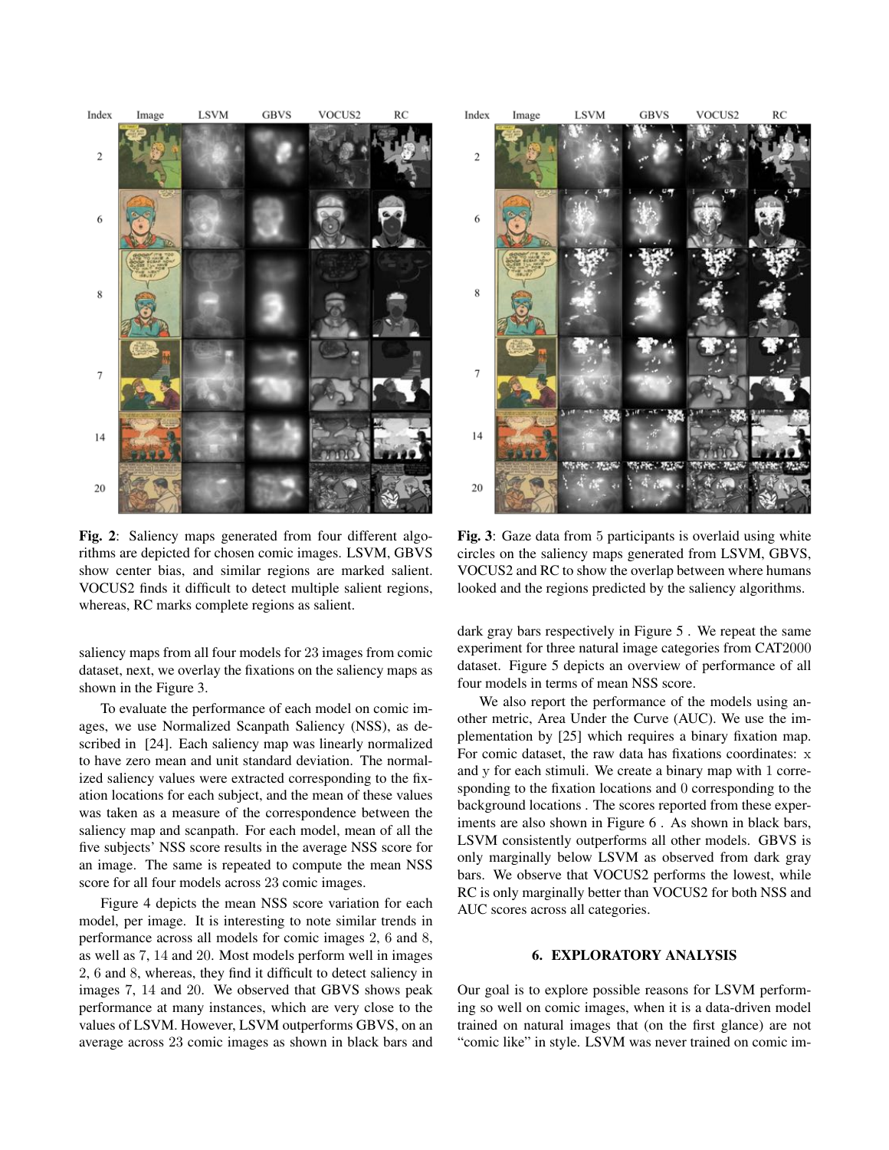

Fig. 2: Saliency maps generated from four different algorithms are depicted for chosen comic images. LSVM, GBVS show center bias, and similar regions are marked salient. VOCUS2 finds it difficult to detect multiple salient regions, whereas, RC marks complete regions as salient.

saliency maps from all four models for 23 images from comic dataset, next, we overlay the fixations on the saliency maps as shown in the Figure 3.

To evaluate the performance of each model on comic images, we use Normalized Scanpath Saliency (NSS), as described in [24]. Each saliency map was linearly normalized to have zero mean and unit standard deviation. The normalized saliency values were extracted corresponding to the fixation locations for each subject, and the mean of these values was taken as a measure of the correspondence between the saliency map and scanpath. For each model, mean of all the five subjects' NSS score results in the average NSS score for an image. The same is repeated to compute the mean NSS score for all four models across 23 comic images.

Figure 4 depicts the mean NSS score variation for each model, per image. It is interesting to note similar trends in performance across all models for comic images 2, 6 and 8, as well as 7, 14 and 20. Most models perform well in images 2, 6 and 8, whereas, they find it difficult to detect saliency in images 7, 14 and 20. We observed that GBVS shows peak performance at many instances, which are very close to the values of LSVM. However, LSVM outperforms GBVS, on an average across 23 comic images as shown in black bars and



Fig. 3: Gaze data from 5 participants is overlaid using white circles on the saliency maps generated from LSVM, GBVS, VOCUS2 and RC to show the overlap between where humans looked and the regions predicted by the saliency algorithms.

dark gray bars respectively in Figure 5 . We repeat the same experiment for three natural image categories from CAT2000 dataset. Figure 5 depicts an overview of performance of all four models in terms of mean NSS score.

We also report the performance of the models using another metric, Area Under the Curve (AUC). We use the implementation by [25] which requires a binary fixation map. For comic dataset, the raw data has fixations coordinates: x and y for each stimuli. We create a binary map with 1 corresponding to the fixation locations and 0 corresponding to the background locations . The scores reported from these experiments are also shown in Figure 6 . As shown in black bars, LSVM consistently outperforms all other models. GBVS is only marginally below LSVM as observed from dark gray bars. We observe that VOCUS2 performs the lowest, while RC is only marginally better than VOCUS2 for both NSS and AUC scores across all categories.

### 6. EXPLORATORY ANALYSIS

Our goal is to explore possible reasons for LSVM performing so well on comic images, when it is a data-driven model trained on natural images that (on the first glance) are not "comic like" in style. LSVM was never trained on comic im-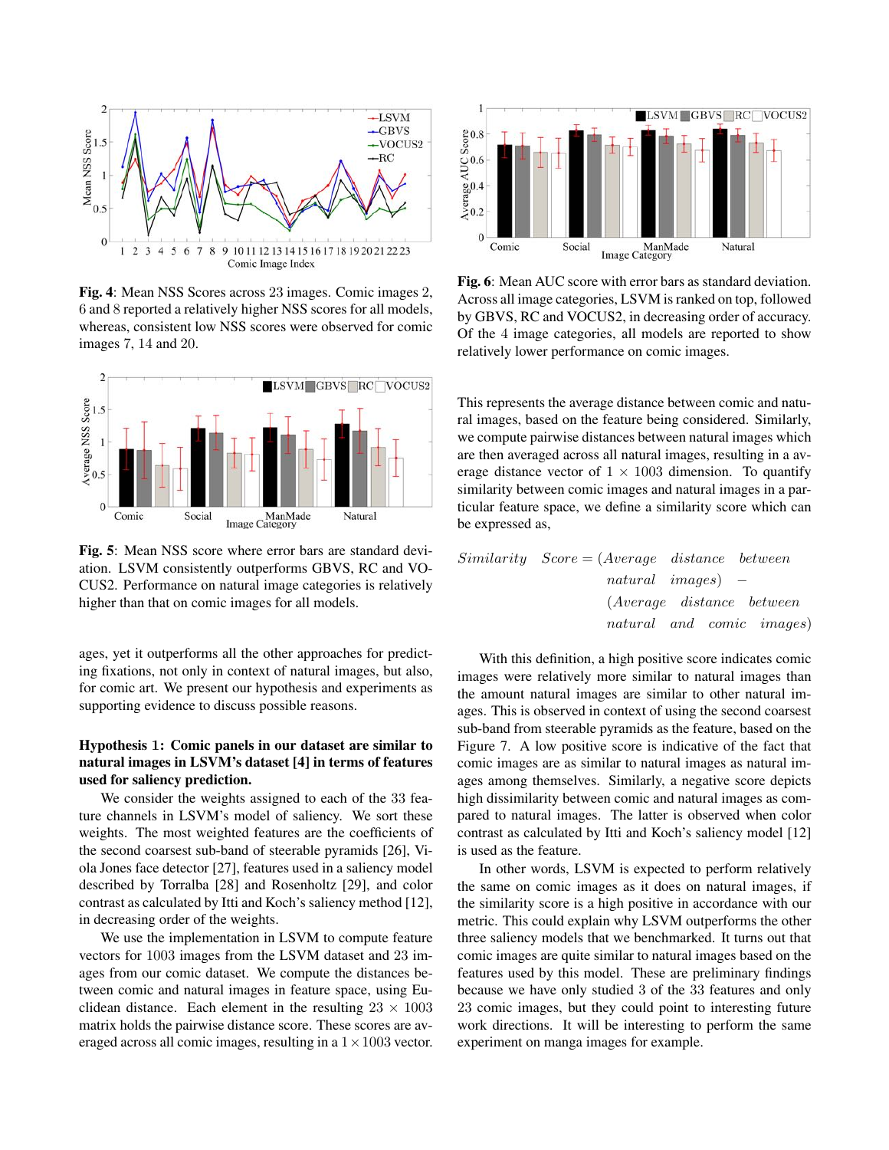

Fig. 4: Mean NSS Scores across 23 images. Comic images 2, 6 and 8 reported a relatively higher NSS scores for all models, whereas, consistent low NSS scores were observed for comic images 7, 14 and 20.



Fig. 5: Mean NSS score where error bars are standard deviation. LSVM consistently outperforms GBVS, RC and VO-CUS2. Performance on natural image categories is relatively higher than that on comic images for all models.

ages, yet it outperforms all the other approaches for predicting fixations, not only in context of natural images, but also, for comic art. We present our hypothesis and experiments as supporting evidence to discuss possible reasons.

# Hypothesis 1: Comic panels in our dataset are similar to natural images in LSVM's dataset [4] in terms of features used for saliency prediction.

We consider the weights assigned to each of the 33 feature channels in LSVM's model of saliency. We sort these weights. The most weighted features are the coefficients of the second coarsest sub-band of steerable pyramids [26], Viola Jones face detector [27], features used in a saliency model described by Torralba [28] and Rosenholtz [29], and color contrast as calculated by Itti and Koch's saliency method [12], in decreasing order of the weights.

We use the implementation in LSVM to compute feature vectors for 1003 images from the LSVM dataset and 23 images from our comic dataset. We compute the distances between comic and natural images in feature space, using Euclidean distance. Each element in the resulting  $23 \times 1003$ matrix holds the pairwise distance score. These scores are averaged across all comic images, resulting in a  $1 \times 1003$  vector.



Fig. 6: Mean AUC score with error bars as standard deviation. Across all image categories, LSVM is ranked on top, followed by GBVS, RC and VOCUS2, in decreasing order of accuracy. Of the 4 image categories, all models are reported to show relatively lower performance on comic images.

This represents the average distance between comic and natural images, based on the feature being considered. Similarly, we compute pairwise distances between natural images which are then averaged across all natural images, resulting in a average distance vector of  $1 \times 1003$  dimension. To quantify similarity between comic images and natural images in a particular feature space, we define a similarity score which can be expressed as,

*Similarity Score* = (*Average distance between natural images*) (*Average distance between natural and comic images*)

With this definition, a high positive score indicates comic images were relatively more similar to natural images than the amount natural images are similar to other natural images. This is observed in context of using the second coarsest sub-band from steerable pyramids as the feature, based on the Figure 7. A low positive score is indicative of the fact that comic images are as similar to natural images as natural images among themselves. Similarly, a negative score depicts high dissimilarity between comic and natural images as compared to natural images. The latter is observed when color contrast as calculated by Itti and Koch's saliency model [12] is used as the feature.

In other words, LSVM is expected to perform relatively the same on comic images as it does on natural images, if the similarity score is a high positive in accordance with our metric. This could explain why LSVM outperforms the other three saliency models that we benchmarked. It turns out that comic images are quite similar to natural images based on the features used by this model. These are preliminary findings because we have only studied 3 of the 33 features and only 23 comic images, but they could point to interesting future work directions. It will be interesting to perform the same experiment on manga images for example.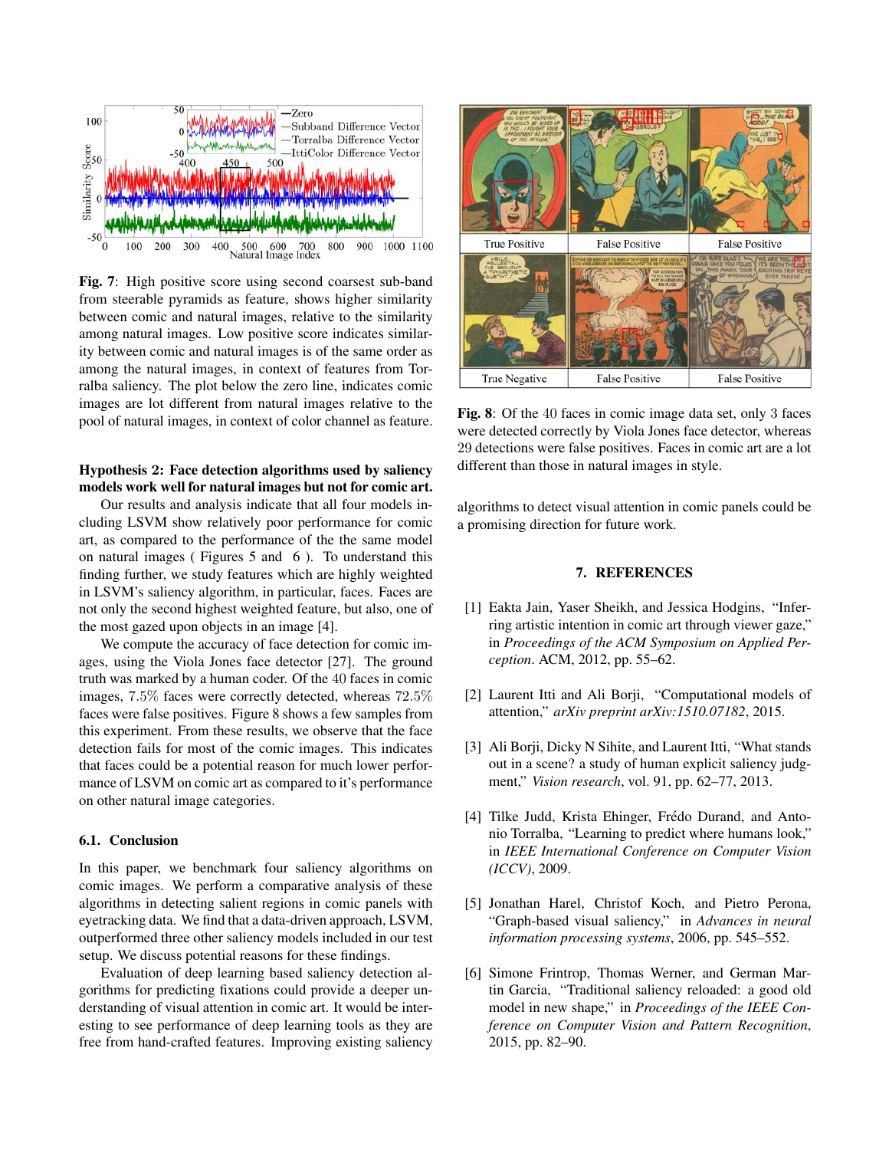

Fig. 7: High positive score using second coarsest sub-band from steerable pyramids as feature, shows higher similarity between comic and natural images, relative to the similarity among natural images. Low positive score indicates similarity between comic and natural images is of the same order as among the natural images, in context of features from Torralba saliency. The plot below the zero line, indicates comic images are lot different from natural images relative to the pool of natural images, in context of color channel as feature.

# Hypothesis 2: Face detection algorithms used by saliency models work well for natural images but not for comic art.

Our results and analysis indicate that all four models including LSVM show relatively poor performance for comic art, as compared to the performance of the the same model on natural images ( Figures 5 and 6 ). To understand this finding further, we study features which are highly weighted in LSVM's saliency algorithm, in particular, faces. Faces are not only the second highest weighted feature, but also, one of the most gazed upon objects in an image [4].

We compute the accuracy of face detection for comic images, using the Viola Jones face detector [27]. The ground truth was marked by a human coder. Of the 40 faces in comic images, 7*.*5% faces were correctly detected, whereas 72*.*5% faces were false positives. Figure 8 shows a few samples from this experiment. From these results, we observe that the face detection fails for most of the comic images. This indicates that faces could be a potential reason for much lower performance of LSVM on comic art as compared to it's performance on other natural image categories.

## 6.1. Conclusion

In this paper, we benchmark four saliency algorithms on comic images. We perform a comparative analysis of these algorithms in detecting salient regions in comic panels with eyetracking data. We find that a data-driven approach, LSVM, outperformed three other saliency models included in our test setup. We discuss potential reasons for these findings.

Evaluation of deep learning based saliency detection algorithms for predicting fixations could provide a deeper understanding of visual attention in comic art. It would be interesting to see performance of deep learning tools as they are free from hand-crafted features. Improving existing saliency



Fig. 8: Of the 40 faces in comic image data set, only 3 faces were detected correctly by Viola Jones face detector, whereas 29 detections were false positives. Faces in comic art are a lot different than those in natural images in style.

algorithms to detect visual attention in comic panels could be a promising direction for future work.

### 7. REFERENCES

- [1] Eakta Jain, Yaser Sheikh, and Jessica Hodgins, "Inferring artistic intention in comic art through viewer gaze," in *Proceedings of the ACM Symposium on Applied Perception*. ACM, 2012, pp. 55–62.
- [2] Laurent Itti and Ali Borji, "Computational models of attention," *arXiv preprint arXiv:1510.07182*, 2015.
- [3] Ali Borji, Dicky N Sihite, and Laurent Itti, "What stands out in a scene? a study of human explicit saliency judgment," *Vision research*, vol. 91, pp. 62–77, 2013.
- [4] Tilke Judd, Krista Ehinger, Frédo Durand, and Antonio Torralba, "Learning to predict where humans look," in *IEEE International Conference on Computer Vision (ICCV)*, 2009.
- [5] Jonathan Harel, Christof Koch, and Pietro Perona, "Graph-based visual saliency," in *Advances in neural information processing systems*, 2006, pp. 545–552.
- [6] Simone Frintrop, Thomas Werner, and German Martin Garcia, "Traditional saliency reloaded: a good old model in new shape," in *Proceedings of the IEEE Conference on Computer Vision and Pattern Recognition*, 2015, pp. 82–90.